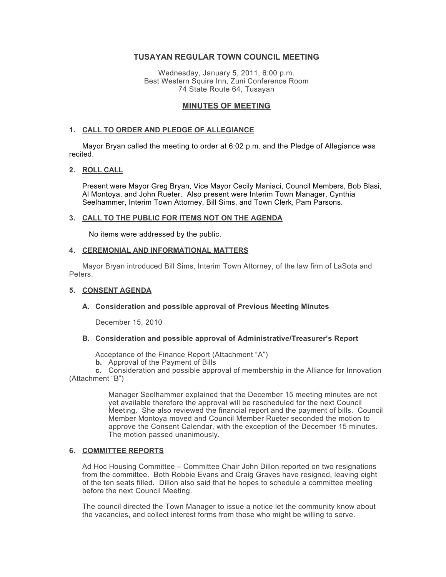# **TUSAYAN REGULAR TOWN COUNCIL MEETING**

Wednesday, January 5, 2011, 6:00 p.m. Best Western Squire Inn, Zuni Conference Room 74 State Route 64, Tusayan

# **MINUTES OF MEETING**

### **1. CALL TO ORDER AND PLEDGE OF ALLEGIANCE**

Mayor Bryan called the meeting to order at 6:02 p.m. and the Pledge of Allegiance was recited.

### **2. ROLL CALL**

Present were Mayor Greg Bryan, Vice Mayor Cecily Maniaci, Council Members, Bob Blasi, Al Montoya, and John Rueter. Also present were Interim Town Manager, Cynthia Seelhammer, Interim Town Attorney, Bill Sims, and Town Clerk, Pam Parsons.

#### **3. CALL TO THE PUBLIC FOR ITEMS NOT ON THE AGENDA**

No items were addressed by the public.

### **4. CEREMONIAL AND INFORMATIONAL MATTERS**

Mayor Bryan introduced Bill Sims, Interim Town Attorney, of the law firm of LaSota and Peters.

### **5. CONSENT AGENDA**

### **A. Consideration and possible approval of Previous Meeting Minutes**

December 15, 2010

# **B. Consideration and possible approval of Administrative/Treasurer's Report**

Acceptance of the Finance Report (Attachment "A")

**b.** Approval of the Payment of Bills

**c.** Consideration and possible approval of membership in the Alliance for Innovation (Attachment "B")

> Manager Seelhammer explained that the December 15 meeting minutes are not yet available therefore the approval will be rescheduled for the next Council Meeting. She also reviewed the financial report and the payment of bills. Council Member Montoya moved and Council Member Rueter seconded the motion to approve the Consent Calendar, with the exception of the December 15 minutes. The motion passed unanimously.

### **6. COMMITTEE REPORTS**

Ad Hoc Housing Committee – Committee Chair John Dillon reported on two resignations from the committee. Both Robbie Evans and Craig Graves have resigned, leaving eight of the ten seats filled. Dillon also said that he hopes to schedule a committee meeting before the next Council Meeting.

The council directed the Town Manager to issue a notice let the community know about the vacancies, and collect interest forms from those who might be willing to serve.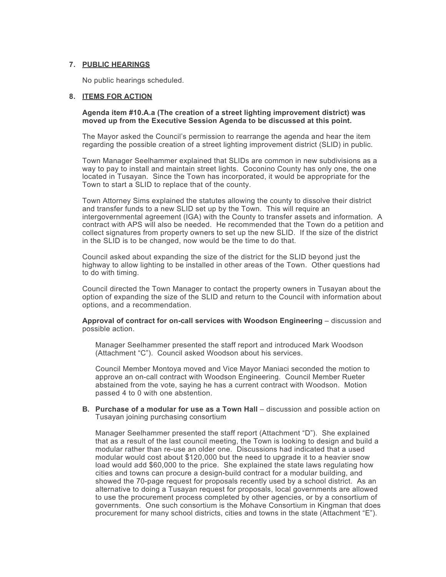### **7. PUBLIC HEARINGS**

No public hearings scheduled.

### **8. ITEMS FOR ACTION**

#### **Agenda item #10.A.a (The creation of a street lighting improvement district) was moved up from the Executive Session Agenda to be discussed at this point.**

The Mayor asked the Council's permission to rearrange the agenda and hear the item regarding the possible creation of a street lighting improvement district (SLID) in public.

Town Manager Seelhammer explained that SLIDs are common in new subdivisions as a way to pay to install and maintain street lights. Coconino County has only one, the one located in Tusayan. Since the Town has incorporated, it would be appropriate for the Town to start a SLID to replace that of the county.

Town Attorney Sims explained the statutes allowing the county to dissolve their district and transfer funds to a new SLID set up by the Town. This will require an intergovernmental agreement (IGA) with the County to transfer assets and information. A contract with APS will also be needed. He recommended that the Town do a petition and collect signatures from property owners to set up the new SLID. If the size of the district in the SLID is to be changed, now would be the time to do that.

Council asked about expanding the size of the district for the SLID beyond just the highway to allow lighting to be installed in other areas of the Town. Other questions had to do with timing.

Council directed the Town Manager to contact the property owners in Tusayan about the option of expanding the size of the SLID and return to the Council with information about options, and a recommendation.

**Approval of contract for on-call services with Woodson Engineering** – discussion and possible action.

Manager Seelhammer presented the staff report and introduced Mark Woodson (Attachment "C"). Council asked Woodson about his services.

Council Member Montoya moved and Vice Mayor Maniaci seconded the motion to approve an on-call contract with Woodson Engineering. Council Member Rueter abstained from the vote, saying he has a current contract with Woodson. Motion passed 4 to 0 with one abstention.

**B. Purchase of a modular for use as a Town Hall** – discussion and possible action on Tusayan joining purchasing consortium

Manager Seelhammer presented the staff report (Attachment "D"). She explained that as a result of the last council meeting, the Town is looking to design and build a modular rather than re-use an older one. Discussions had indicated that a used modular would cost about \$120,000 but the need to upgrade it to a heavier snow load would add \$60,000 to the price. She explained the state laws regulating how cities and towns can procure a design-build contract for a modular building, and showed the 70-page request for proposals recently used by a school district. As an alternative to doing a Tusayan request for proposals, local governments are allowed to use the procurement process completed by other agencies, or by a consortium of governments. One such consortium is the Mohave Consortium in Kingman that does procurement for many school districts, cities and towns in the state (Attachment "E").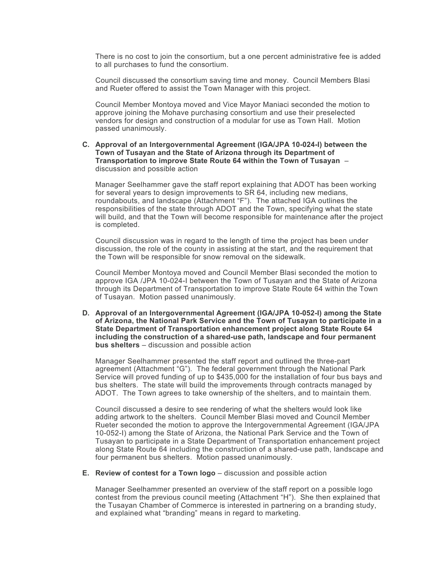There is no cost to join the consortium, but a one percent administrative fee is added to all purchases to fund the consortium.

Council discussed the consortium saving time and money. Council Members Blasi and Rueter offered to assist the Town Manager with this project.

Council Member Montoya moved and Vice Mayor Maniaci seconded the motion to approve joining the Mohave purchasing consortium and use their preselected vendors for design and construction of a modular for use as Town Hall. Motion passed unanimously.

#### **C. Approval of an Intergovernmental Agreement (IGA/JPA 10-024-I) between the Town of Tusayan and the State of Arizona through its Department of Transportation to improve State Route 64 within the Town of Tusayan** – discussion and possible action

Manager Seelhammer gave the staff report explaining that ADOT has been working for several years to design improvements to SR 64, including new medians, roundabouts, and landscape (Attachment "F"). The attached IGA outlines the responsibilities of the state through ADOT and the Town, specifying what the state will build, and that the Town will become responsible for maintenance after the project is completed.

Council discussion was in regard to the length of time the project has been under discussion, the role of the county in assisting at the start, and the requirement that the Town will be responsible for snow removal on the sidewalk.

Council Member Montoya moved and Council Member Blasi seconded the motion to approve IGA /JPA 10-024-I between the Town of Tusayan and the State of Arizona through its Department of Transportation to improve State Route 64 within the Town of Tusayan. Motion passed unanimously.

**D. Approval of an Intergovernmental Agreement (IGA/JPA 10-052-I) among the State of Arizona, the National Park Service and the Town of Tusayan to participate in a State Department of Transportation enhancement project along State Route 64 including the construction of a shared-use path, landscape and four permanent bus shelters** – discussion and possible action

Manager Seelhammer presented the staff report and outlined the three-part agreement (Attachment "G"). The federal government through the National Park Service will proved funding of up to \$435,000 for the installation of four bus bays and bus shelters. The state will build the improvements through contracts managed by ADOT. The Town agrees to take ownership of the shelters, and to maintain them.

Council discussed a desire to see rendering of what the shelters would look like adding artwork to the shelters. Council Member Blasi moved and Council Member Rueter seconded the motion to approve the Intergovernmental Agreement (IGA/JPA 10-052-I) among the State of Arizona, the National Park Service and the Town of Tusayan to participate in a State Department of Transportation enhancement project along State Route 64 including the construction of a shared-use path, landscape and four permanent bus shelters. Motion passed unanimously.

**E. Review of contest for a Town logo** – discussion and possible action

Manager Seelhammer presented an overview of the staff report on a possible logo contest from the previous council meeting (Attachment "H"). She then explained that the Tusayan Chamber of Commerce is interested in partnering on a branding study, and explained what "branding" means in regard to marketing.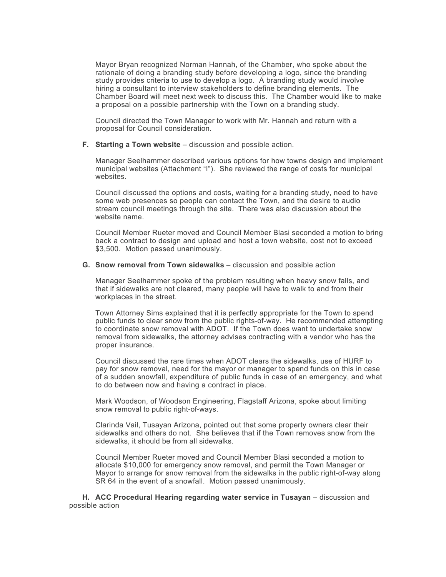Mayor Bryan recognized Norman Hannah, of the Chamber, who spoke about the rationale of doing a branding study before developing a logo, since the branding study provides criteria to use to develop a logo. A branding study would involve hiring a consultant to interview stakeholders to define branding elements. The Chamber Board will meet next week to discuss this. The Chamber would like to make a proposal on a possible partnership with the Town on a branding study.

Council directed the Town Manager to work with Mr. Hannah and return with a proposal for Council consideration.

**F. Starting a Town website** – discussion and possible action.

Manager Seelhammer described various options for how towns design and implement municipal websites (Attachment "I"). She reviewed the range of costs for municipal websites.

Council discussed the options and costs, waiting for a branding study, need to have some web presences so people can contact the Town, and the desire to audio stream council meetings through the site. There was also discussion about the website name.

Council Member Rueter moved and Council Member Blasi seconded a motion to bring back a contract to design and upload and host a town website, cost not to exceed \$3,500. Motion passed unanimously.

### **G. Snow removal from Town sidewalks** – discussion and possible action

Manager Seelhammer spoke of the problem resulting when heavy snow falls, and that if sidewalks are not cleared, many people will have to walk to and from their workplaces in the street.

Town Attorney Sims explained that it is perfectly appropriate for the Town to spend public funds to clear snow from the public rights-of-way. He recommended attempting to coordinate snow removal with ADOT. If the Town does want to undertake snow removal from sidewalks, the attorney advises contracting with a vendor who has the proper insurance.

Council discussed the rare times when ADOT clears the sidewalks, use of HURF to pay for snow removal, need for the mayor or manager to spend funds on this in case of a sudden snowfall, expenditure of public funds in case of an emergency, and what to do between now and having a contract in place.

Mark Woodson, of Woodson Engineering, Flagstaff Arizona, spoke about limiting snow removal to public right-of-ways.

Clarinda Vail, Tusayan Arizona, pointed out that some property owners clear their sidewalks and others do not. She believes that if the Town removes snow from the sidewalks, it should be from all sidewalks.

Council Member Rueter moved and Council Member Blasi seconded a motion to allocate \$10,000 for emergency snow removal, and permit the Town Manager or Mayor to arrange for snow removal from the sidewalks in the public right-of-way along SR 64 in the event of a snowfall. Motion passed unanimously.

**H. ACC Procedural Hearing regarding water service in Tusayan** – discussion and possible action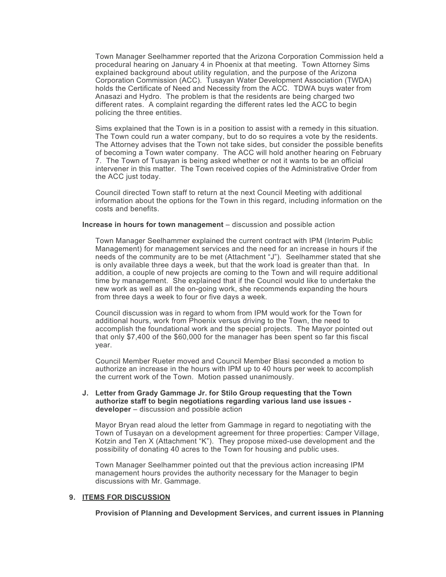Town Manager Seelhammer reported that the Arizona Corporation Commission held a procedural hearing on January 4 in Phoenix at that meeting. Town Attorney Sims explained background about utility regulation, and the purpose of the Arizona Corporation Commission (ACC). Tusayan Water Development Association (TWDA) holds the Certificate of Need and Necessity from the ACC. TDWA buys water from Anasazi and Hydro. The problem is that the residents are being charged two different rates. A complaint regarding the different rates led the ACC to begin policing the three entities.

Sims explained that the Town is in a position to assist with a remedy in this situation. The Town could run a water company, but to do so requires a vote by the residents. The Attorney advises that the Town not take sides, but consider the possible benefits of becoming a Town water company. The ACC will hold another hearing on February 7. The Town of Tusayan is being asked whether or not it wants to be an official intervener in this matter. The Town received copies of the Administrative Order from the ACC just today.

Council directed Town staff to return at the next Council Meeting with additional information about the options for the Town in this regard, including information on the costs and benefits.

### **Increase in hours for town management** – discussion and possible action

Town Manager Seelhammer explained the current contract with IPM (Interim Public Management) for management services and the need for an increase in hours if the needs of the community are to be met (Attachment "J"). Seelhammer stated that she is only available three days a week, but that the work load is greater than that. In addition, a couple of new projects are coming to the Town and will require additional time by management. She explained that if the Council would like to undertake the new work as well as all the on-going work, she recommends expanding the hours from three days a week to four or five days a week.

Council discussion was in regard to whom from IPM would work for the Town for additional hours, work from Phoenix versus driving to the Town, the need to accomplish the foundational work and the special projects. The Mayor pointed out that only \$7,400 of the \$60,000 for the manager has been spent so far this fiscal year.

Council Member Rueter moved and Council Member Blasi seconded a motion to authorize an increase in the hours with IPM up to 40 hours per week to accomplish the current work of the Town. Motion passed unanimously.

### **J. Letter from Grady Gammage Jr. for Stilo Group requesting that the Town authorize staff to begin negotiations regarding various land use issues developer** – discussion and possible action

Mayor Bryan read aloud the letter from Gammage in regard to negotiating with the Town of Tusayan on a development agreement for three properties: Camper Village, Kotzin and Ten X (Attachment "K"). They propose mixed-use development and the possibility of donating 40 acres to the Town for housing and public uses.

Town Manager Seelhammer pointed out that the previous action increasing IPM management hours provides the authority necessary for the Manager to begin discussions with Mr. Gammage.

### **9. ITEMS FOR DISCUSSION**

**Provision of Planning and Development Services, and current issues in Planning**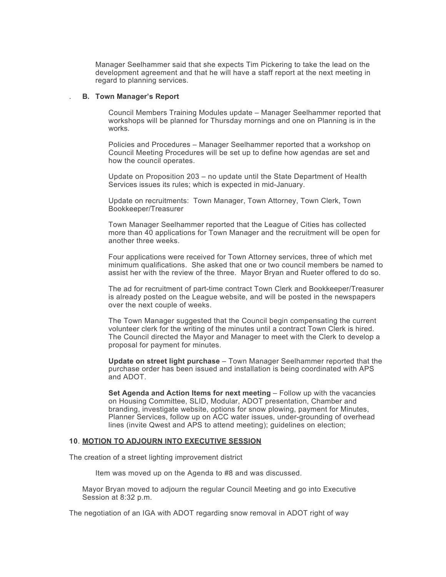Manager Seelhammer said that she expects Tim Pickering to take the lead on the development agreement and that he will have a staff report at the next meeting in regard to planning services.

### . **B. Town Manager's Report**

Council Members Training Modules update – Manager Seelhammer reported that workshops will be planned for Thursday mornings and one on Planning is in the works.

Policies and Procedures – Manager Seelhammer reported that a workshop on Council Meeting Procedures will be set up to define how agendas are set and how the council operates.

Update on Proposition 203 – no update until the State Department of Health Services issues its rules; which is expected in mid-January.

Update on recruitments: Town Manager, Town Attorney, Town Clerk, Town Bookkeeper/Treasurer

Town Manager Seelhammer reported that the League of Cities has collected more than 40 applications for Town Manager and the recruitment will be open for another three weeks.

Four applications were received for Town Attorney services, three of which met minimum qualifications. She asked that one or two council members be named to assist her with the review of the three. Mayor Bryan and Rueter offered to do so.

The ad for recruitment of part-time contract Town Clerk and Bookkeeper/Treasurer is already posted on the League website, and will be posted in the newspapers over the next couple of weeks.

The Town Manager suggested that the Council begin compensating the current volunteer clerk for the writing of the minutes until a contract Town Clerk is hired. The Council directed the Mayor and Manager to meet with the Clerk to develop a proposal for payment for minutes.

**Update on street light purchase** – Town Manager Seelhammer reported that the purchase order has been issued and installation is being coordinated with APS and ADOT.

**Set Agenda and Action Items for next meeting** – Follow up with the vacancies on Housing Committee, SLID, Modular, ADOT presentation, Chamber and branding, investigate website, options for snow plowing, payment for Minutes, Planner Services, follow up on ACC water issues, under-grounding of overhead lines (invite Qwest and APS to attend meeting); guidelines on election;

#### **10**. **MOTION TO ADJOURN INTO EXECUTIVE SESSION**

The creation of a street lighting improvement district

Item was moved up on the Agenda to #8 and was discussed.

Mayor Bryan moved to adjourn the regular Council Meeting and go into Executive Session at 8:32 p.m.

The negotiation of an IGA with ADOT regarding snow removal in ADOT right of way